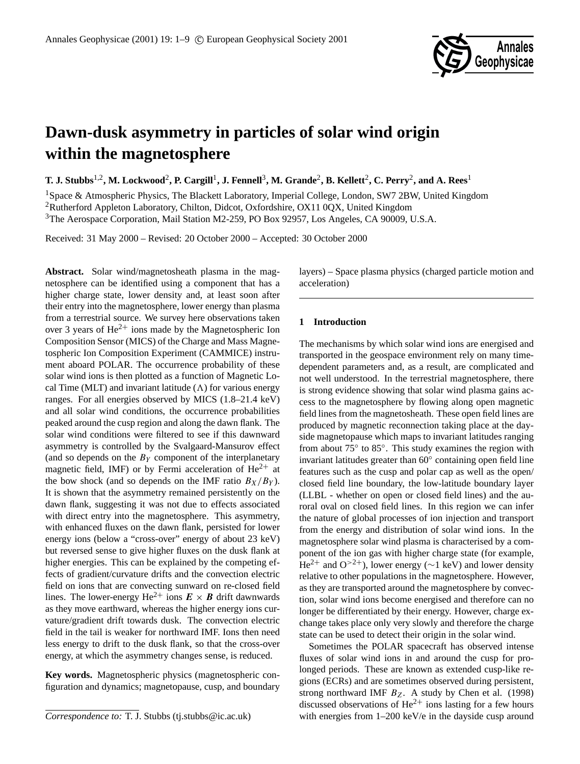

# **Dawn-dusk asymmetry in particles of solar wind origin within the magnetosphere**

 $\bf{T. J. Stubbs}^{1,2}, \bf{M. Lockwood}^{2}, \bf{P.}~Cargill^{1}, \bf{J.}~Fennell^{3}, \bf{M.}~Grande^{2}, \bf{B.}~Kellett^{2}, \bf{C.}~Perry^{2}, and ~\bf{A.}~Rees^{1}, \bf{A.}~Res^{3}, \bf{A.}~Res^{4}, \bf{A.}~Res^{5}, \bf{A.}~Res^{6}, \bf{A.}~Res^{7}, \bf{A.}~Res^{8}, \bf{A.}~Res^{9}, \bf{A.}~Res^{1}, \bf{A.}~Res^{1}, \bf{A.}~Res$ 

<sup>1</sup>Space & Atmospheric Physics, The Blackett Laboratory, Imperial College, London, SW7 2BW, United Kingdom <sup>2</sup>Rutherford Appleton Laboratory, Chilton, Didcot, Oxfordshire, OX11 0QX, United Kingdom <sup>3</sup>The Aerospace Corporation, Mail Station M2-259, PO Box 92957, Los Angeles, CA 90009, U.S.A.

Received: 31 May 2000 – Revised: 20 October 2000 – Accepted: 30 October 2000

**Abstract.** Solar wind/magnetosheath plasma in the magnetosphere can be identified using a component that has a higher charge state, lower density and, at least soon after their entry into the magnetosphere, lower energy than plasma from a terrestrial source. We survey here observations taken over 3 years of  $He^{2+}$  ions made by the Magnetospheric Ion Composition Sensor (MICS) of the Charge and Mass Magnetospheric Ion Composition Experiment (CAMMICE) instrument aboard POLAR. The occurrence probability of these solar wind ions is then plotted as a function of Magnetic Local Time (MLT) and invariant latitude  $(\Lambda)$  for various energy ranges. For all energies observed by MICS (1.8–21.4 keV) and all solar wind conditions, the occurrence probabilities peaked around the cusp region and along the dawn flank. The solar wind conditions were filtered to see if this dawnward asymmetry is controlled by the Svalgaard-Mansurov effect (and so depends on the  $B<sub>Y</sub>$  component of the interplanetary magnetic field, IMF) or by Fermi acceleration of  $He^{2+}$  at the bow shock (and so depends on the IMF ratio  $B_X/B_Y$ ). It is shown that the asymmetry remained persistently on the dawn flank, suggesting it was not due to effects associated with direct entry into the magnetosphere. This asymmetry, with enhanced fluxes on the dawn flank, persisted for lower energy ions (below a "cross-over" energy of about 23 keV) but reversed sense to give higher fluxes on the dusk flank at higher energies. This can be explained by the competing effects of gradient/curvature drifts and the convection electric field on ions that are convecting sunward on re-closed field lines. The lower-energy He<sup>2+</sup> ions  $\mathbf{E} \times \mathbf{B}$  drift dawnwards as they move earthward, whereas the higher energy ions curvature/gradient drift towards dusk. The convection electric field in the tail is weaker for northward IMF. Ions then need less energy to drift to the dusk flank, so that the cross-over energy, at which the asymmetry changes sense, is reduced.

**Key words.** Magnetospheric physics (magnetospheric configuration and dynamics; magnetopause, cusp, and boundary layers) – Space plasma physics (charged particle motion and acceleration)

## **1 Introduction**

The mechanisms by which solar wind ions are energised and transported in the geospace environment rely on many timedependent parameters and, as a result, are complicated and not well understood. In the terrestrial magnetosphere, there is strong evidence showing that solar wind plasma gains access to the magnetosphere by flowing along open magnetic field lines from the magnetosheath. These open field lines are produced by magnetic reconnection taking place at the dayside magnetopause which maps to invariant latitudes ranging from about 75° to 85°. This study examines the region with invariant latitudes greater than 60◦ containing open field line features such as the cusp and polar cap as well as the open/ closed field line boundary, the low-latitude boundary layer (LLBL - whether on open or closed field lines) and the auroral oval on closed field lines. In this region we can infer the nature of global processes of ion injection and transport from the energy and distribution of solar wind ions. In the magnetosphere solar wind plasma is characterised by a component of the ion gas with higher charge state (for example, He<sup>2+</sup> and O<sup>>2+</sup>), lower energy (∼1 keV) and lower density relative to other populations in the magnetosphere. However, as they are transported around the magnetosphere by convection, solar wind ions become energised and therefore can no longer be differentiated by their energy. However, charge exchange takes place only very slowly and therefore the charge state can be used to detect their origin in the solar wind.

Sometimes the POLAR spacecraft has observed intense fluxes of solar wind ions in and around the cusp for prolonged periods. These are known as extended cusp-like regions (ECRs) and are sometimes observed during persistent, strong northward IMF  $B_Z$ . A study by Chen et al. (1998) discussed observations of  $He^{2+}$  ions lasting for a few hours with energies from 1–200 keV/e in the dayside cusp around

*Correspondence to:* T. J. Stubbs (tj.stubbs@ic.ac.uk)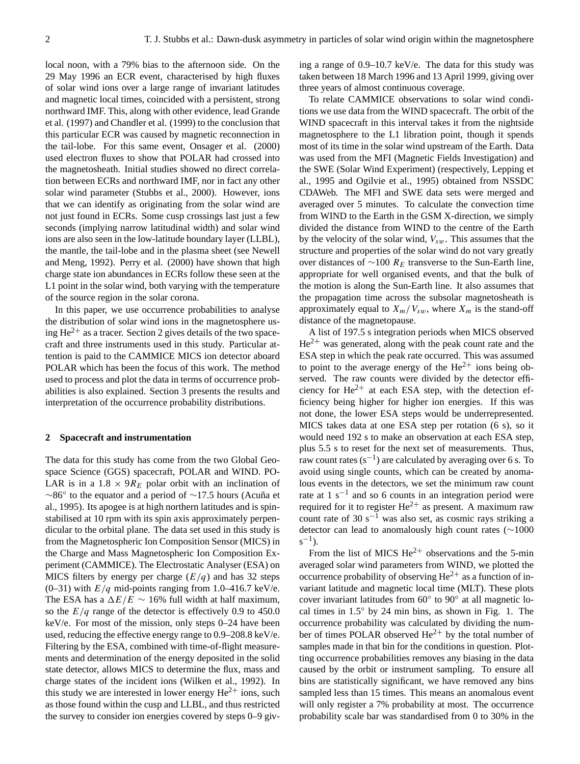local noon, with a 79% bias to the afternoon side. On the 29 May 1996 an ECR event, characterised by high fluxes of solar wind ions over a large range of invariant latitudes and magnetic local times, coincided with a persistent, strong northward IMF. This, along with other evidence, lead Grande et al. (1997) and Chandler et al. (1999) to the conclusion that this particular ECR was caused by magnetic reconnection in the tail-lobe. For this same event, Onsager et al. (2000) used electron fluxes to show that POLAR had crossed into the magnetosheath. Initial studies showed no direct correlation between ECRs and northward IMF, nor in fact any other solar wind parameter (Stubbs et al., 2000). However, ions that we can identify as originating from the solar wind are not just found in ECRs. Some cusp crossings last just a few seconds (implying narrow latitudinal width) and solar wind ions are also seen in the low-latitude boundary layer (LLBL), the mantle, the tail-lobe and in the plasma sheet (see Newell and Meng, 1992). Perry et al. (2000) have shown that high charge state ion abundances in ECRs follow these seen at the L1 point in the solar wind, both varying with the temperature of the source region in the solar corona.

In this paper, we use occurrence probabilities to analyse the distribution of solar wind ions in the magnetosphere using  $\text{He}^{2+}$  as a tracer. Section 2 gives details of the two spacecraft and three instruments used in this study. Particular attention is paid to the CAMMICE MICS ion detector aboard POLAR which has been the focus of this work. The method used to process and plot the data in terms of occurrence probabilities is also explained. Section 3 presents the results and interpretation of the occurrence probability distributions.

#### **2 Spacecraft and instrumentation**

The data for this study has come from the two Global Geospace Science (GGS) spacecraft, POLAR and WIND. PO-LAR is in a  $1.8 \times 9R_E$  polar orbit with an inclination of ∼86° to the equator and a period of ~17.5 hours (Acuña et al., 1995). Its apogee is at high northern latitudes and is spinstabilised at 10 rpm with its spin axis approximately perpendicular to the orbital plane. The data set used in this study is from the Magnetospheric Ion Composition Sensor (MICS) in the Charge and Mass Magnetospheric Ion Composition Experiment (CAMMICE). The Electrostatic Analyser (ESA) on MICS filters by energy per charge  $(E/q)$  and has 32 steps (0–31) with  $E/q$  mid-points ranging from 1.0–416.7 keV/e. The ESA has a  $\Delta E/E \sim 16\%$  full width at half maximum, so the  $E/q$  range of the detector is effectively 0.9 to 450.0 keV/e. For most of the mission, only steps 0–24 have been used, reducing the effective energy range to 0.9–208.8 keV/e. Filtering by the ESA, combined with time-of-flight measurements and determination of the energy deposited in the solid state detector, allows MICS to determine the flux, mass and charge states of the incident ions (Wilken et al., 1992). In this study we are interested in lower energy  $He^{2+}$  ions, such as those found within the cusp and LLBL, and thus restricted the survey to consider ion energies covered by steps 0–9 giving a range of 0.9–10.7 keV/e. The data for this study was taken between 18 March 1996 and 13 April 1999, giving over three years of almost continuous coverage.

To relate CAMMICE observations to solar wind conditions we use data from the WIND spacecraft. The orbit of the WIND spacecraft in this interval takes it from the nightside magnetosphere to the L1 libration point, though it spends most of its time in the solar wind upstream of the Earth. Data was used from the MFI (Magnetic Fields Investigation) and the SWE (Solar Wind Experiment) (respectively, Lepping et al., 1995 and Ogilvie et al., 1995) obtained from NSSDC CDAWeb. The MFI and SWE data sets were merged and averaged over 5 minutes. To calculate the convection time from WIND to the Earth in the GSM X-direction, we simply divided the distance from WIND to the centre of the Earth by the velocity of the solar wind,  $V_{sw}$ . This assumes that the structure and properties of the solar wind do not vary greatly over distances of  $\sim$ 100  $R_E$  transverse to the Sun-Earth line, appropriate for well organised events, and that the bulk of the motion is along the Sun-Earth line. It also assumes that the propagation time across the subsolar magnetosheath is approximately equal to  $X_m/V_{sw}$ , where  $X_m$  is the stand-off distance of the magnetopause.

A list of 197.5 s integration periods when MICS observed  $He<sup>2+</sup>$  was generated, along with the peak count rate and the ESA step in which the peak rate occurred. This was assumed to point to the average energy of the  $He^{2+}$  ions being observed. The raw counts were divided by the detector efficiency for  $\text{He}^{2+}$  at each ESA step, with the detection efficiency being higher for higher ion energies. If this was not done, the lower ESA steps would be underrepresented. MICS takes data at one ESA step per rotation (6 s), so it would need 192 s to make an observation at each ESA step, plus 5.5 s to reset for the next set of measurements. Thus, raw count rates  $(s^{-1})$  are calculated by averaging over 6 s. To avoid using single counts, which can be created by anomalous events in the detectors, we set the minimum raw count rate at  $1 \text{ s}^{-1}$  and so 6 counts in an integration period were required for it to register  $\text{He}^{2+}$  as present. A maximum raw count rate of 30 s<sup> $-1$ </sup> was also set, as cosmic rays striking a detector can lead to anomalously high count rates (∼1000  $s^{-1}$ ).

From the list of MICS  $He^{2+}$  observations and the 5-min averaged solar wind parameters from WIND, we plotted the occurrence probability of observing  $He^{2+}$  as a function of invariant latitude and magnetic local time (MLT). These plots cover invariant latitudes from 60° to 90° at all magnetic local times in 1.5◦ by 24 min bins, as shown in Fig. 1. The occurrence probability was calculated by dividing the number of times POLAR observed  $He^{2+}$  by the total number of samples made in that bin for the conditions in question. Plotting occurrence probabilities removes any biasing in the data caused by the orbit or instrument sampling. To ensure all bins are statistically significant, we have removed any bins sampled less than 15 times. This means an anomalous event will only register a 7% probability at most. The occurrence probability scale bar was standardised from 0 to 30% in the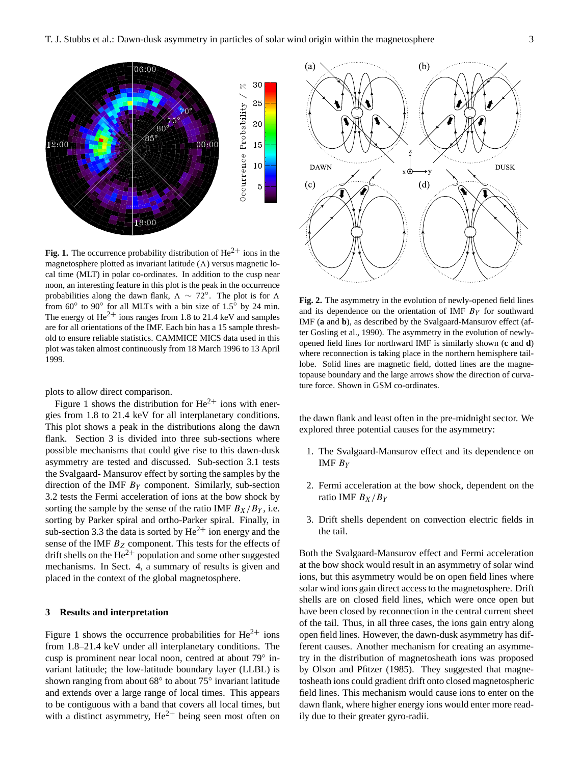

**Fig. 1.** The occurrence probability distribution of  $\text{He}^{2+}$  ions in the magnetosphere plotted as invariant latitude  $(\Lambda)$  versus magnetic local time (MLT) in polar co-ordinates. In addition to the cusp near noon, an interesting feature in this plot is the peak in the occurrence probabilities along the dawn flank,  $\Lambda \sim 72^{\circ}$ . The plot is for  $\Lambda$ from  $60^\circ$  to  $90^\circ$  for all MLTs with a bin size of  $1.5^\circ$  by 24 min. The energy of  $\text{He}^{2+}$  ions ranges from 1.8 to 21.4 keV and samples are for all orientations of the IMF. Each bin has a 15 sample threshold to ensure reliable statistics. CAMMICE MICS data used in this plot was taken almost continuously from 18 March 1996 to 13 April 1999.

plots to allow direct comparison.

Figure 1 shows the distribution for  $He^{2+}$  ions with energies from 1.8 to 21.4 keV for all interplanetary conditions. This plot shows a peak in the distributions along the dawn flank. Section 3 is divided into three sub-sections where possible mechanisms that could give rise to this dawn-dusk asymmetry are tested and discussed. Sub-section 3.1 tests the Svalgaard- Mansurov effect by sorting the samples by the direction of the IMF  $B<sub>Y</sub>$  component. Similarly, sub-section 3.2 tests the Fermi acceleration of ions at the bow shock by sorting the sample by the sense of the ratio IMF  $B_X/B_Y$ , i.e. sorting by Parker spiral and ortho-Parker spiral. Finally, in sub-section 3.3 the data is sorted by  $He^{2+}$  ion energy and the sense of the IMF  $B_Z$  component. This tests for the effects of drift shells on the  $He^{2+}$  population and some other suggested mechanisms. In Sect. 4, a summary of results is given and placed in the context of the global magnetosphere.

## **3 Results and interpretation**

Figure 1 shows the occurrence probabilities for  $He^{2+}$  ions from 1.8–21.4 keV under all interplanetary conditions. The cusp is prominent near local noon, centred at about 79◦ invariant latitude; the low-latitude boundary layer (LLBL) is shown ranging from about  $68^\circ$  to about  $75^\circ$  invariant latitude and extends over a large range of local times. This appears to be contiguous with a band that covers all local times, but with a distinct asymmetry,  $\text{He}^{2+}$  being seen most often on



**Fig. 2.** The asymmetry in the evolution of newly-opened field lines and its dependence on the orientation of IMF  $B<sub>Y</sub>$  for southward IMF (**a** and **b**), as described by the Svalgaard-Mansurov effect (after Gosling et al., 1990). The asymmetry in the evolution of newlyopened field lines for northward IMF is similarly shown (**c** and **d**) where reconnection is taking place in the northern hemisphere taillobe. Solid lines are magnetic field, dotted lines are the magnetopause boundary and the large arrows show the direction of curvature force. Shown in GSM co-ordinates.

the dawn flank and least often in the pre-midnight sector. We explored three potential causes for the asymmetry:

- 1. The Svalgaard-Mansurov effect and its dependence on IMF  $B_Y$
- 2. Fermi acceleration at the bow shock, dependent on the ratio IMF  $B_X/B_Y$
- 3. Drift shells dependent on convection electric fields in the tail.

Both the Svalgaard-Mansurov effect and Fermi acceleration at the bow shock would result in an asymmetry of solar wind ions, but this asymmetry would be on open field lines where solar wind ions gain direct access to the magnetosphere. Drift shells are on closed field lines, which were once open but have been closed by reconnection in the central current sheet of the tail. Thus, in all three cases, the ions gain entry along open field lines. However, the dawn-dusk asymmetry has different causes. Another mechanism for creating an asymmetry in the distribution of magnetosheath ions was proposed by Olson and Pfitzer (1985). They suggested that magnetosheath ions could gradient drift onto closed magnetospheric field lines. This mechanism would cause ions to enter on the dawn flank, where higher energy ions would enter more readily due to their greater gyro-radii.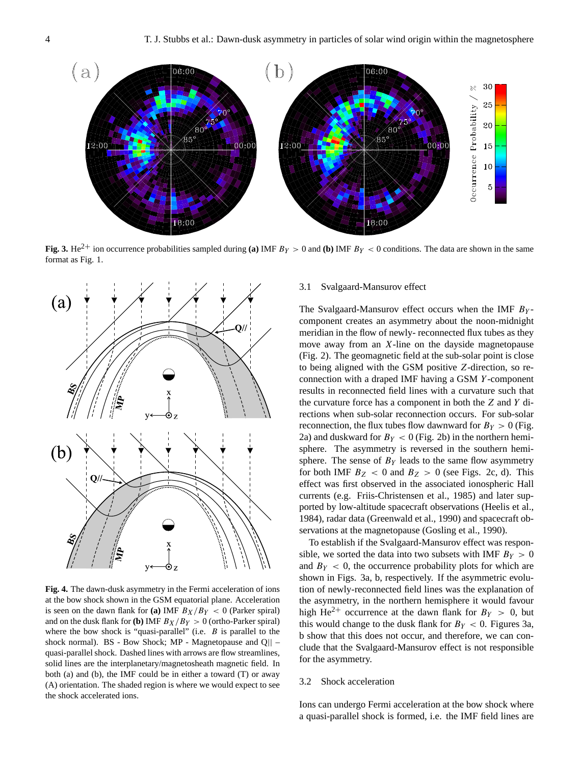

**Fig. 3.** He<sup>2+</sup> ion occurrence probabilities sampled during **(a)** IMF  $B_Y > 0$  and **(b)** IMF  $B_Y < 0$  conditions. The data are shown in the same format as Fig. 1.



**Fig. 4.** The dawn-dusk asymmetry in the Fermi acceleration of ions at the bow shock shown in the GSM equatorial plane. Acceleration is seen on the dawn flank for (a) IMF  $B_X/B_Y < 0$  (Parker spiral) and on the dusk flank for **(b)** IMF  $B_X/B_Y > 0$  (ortho-Parker spiral) where the bow shock is "quasi-parallel" (i.e.  $B$  is parallel to the shock normal). BS - Bow Shock; MP - Magnetopause and Q|| – quasi-parallel shock. Dashed lines with arrows are flow streamlines, solid lines are the interplanetary/magnetosheath magnetic field. In both (a) and (b), the IMF could be in either a toward (T) or away (A) orientation. The shaded region is where we would expect to see the shock accelerated ions.

#### 3.1 Svalgaard-Mansurov effect

The Svalgaard-Mansurov effect occurs when the IMF  $B<sub>Y</sub>$ component creates an asymmetry about the noon-midnight meridian in the flow of newly- reconnected flux tubes as they move away from an  $X$ -line on the dayside magnetopause (Fig. 2). The geomagnetic field at the sub-solar point is close to being aligned with the GSM positive Z-direction, so reconnection with a draped IMF having a GSM Y -component results in reconnected field lines with a curvature such that the curvature force has a component in both the Z and Y directions when sub-solar reconnection occurs. For sub-solar reconnection, the flux tubes flow dawnward for  $B_Y > 0$  (Fig. 2a) and duskward for  $B_Y < 0$  (Fig. 2b) in the northern hemisphere. The asymmetry is reversed in the southern hemisphere. The sense of  $B<sub>Y</sub>$  leads to the same flow asymmetry for both IMF  $B_Z < 0$  and  $B_Z > 0$  (see Figs. 2c, d). This effect was first observed in the associated ionospheric Hall currents (e.g. Friis-Christensen et al., 1985) and later supported by low-altitude spacecraft observations (Heelis et al., 1984), radar data (Greenwald et al., 1990) and spacecraft observations at the magnetopause (Gosling et al., 1990).

To establish if the Svalgaard-Mansurov effect was responsible, we sorted the data into two subsets with IMF  $B_Y > 0$ and  $B_Y < 0$ , the occurrence probability plots for which are shown in Figs. 3a, b, respectively. If the asymmetric evolution of newly-reconnected field lines was the explanation of the asymmetry, in the northern hemisphere it would favour high He<sup>2+</sup> occurrence at the dawn flank for  $B_Y > 0$ , but this would change to the dusk flank for  $B_Y < 0$ . Figures 3a, b show that this does not occur, and therefore, we can conclude that the Svalgaard-Mansurov effect is not responsible for the asymmetry.

#### 3.2 Shock acceleration

Ions can undergo Fermi acceleration at the bow shock where a quasi-parallel shock is formed, i.e. the IMF field lines are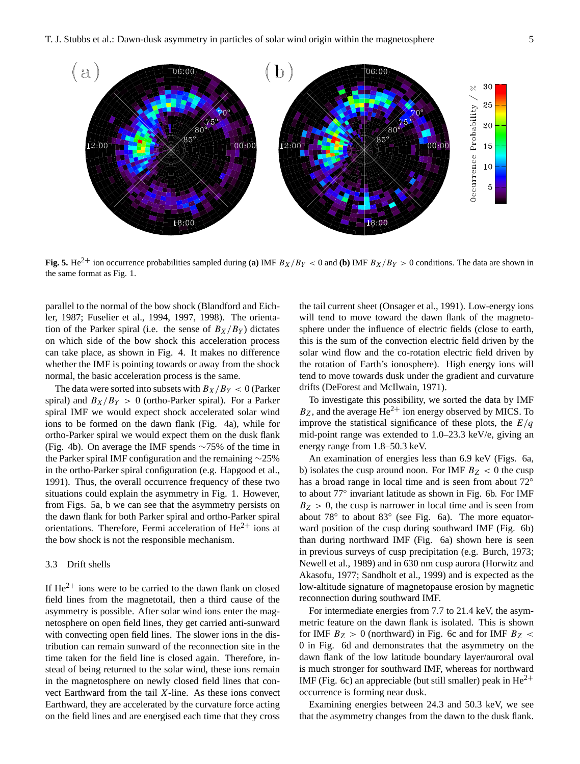

**Fig. 5.** He<sup>2+</sup> ion occurrence probabilities sampled during **(a)** IMF  $B_X/B_Y < 0$  and **(b)** IMF  $B_X/B_Y > 0$  conditions. The data are shown in the same format as Fig. 1.

parallel to the normal of the bow shock (Blandford and Eichler, 1987; Fuselier et al., 1994, 1997, 1998). The orientation of the Parker spiral (i.e. the sense of  $B_X/B_Y$ ) dictates on which side of the bow shock this acceleration process can take place, as shown in Fig. 4. It makes no difference whether the IMF is pointing towards or away from the shock normal, the basic acceleration process is the same.

The data were sorted into subsets with  $B_X/B_Y < 0$  (Parker spiral) and  $B_X/B_Y > 0$  (ortho-Parker spiral). For a Parker spiral IMF we would expect shock accelerated solar wind ions to be formed on the dawn flank (Fig. 4a), while for ortho-Parker spiral we would expect them on the dusk flank (Fig. 4b). On average the IMF spends ∼75% of the time in the Parker spiral IMF configuration and the remaining ∼25% in the ortho-Parker spiral configuration (e.g. Hapgood et al., 1991). Thus, the overall occurrence frequency of these two situations could explain the asymmetry in Fig. 1. However, from Figs. 5a, b we can see that the asymmetry persists on the dawn flank for both Parker spiral and ortho-Parker spiral orientations. Therefore, Fermi acceleration of  $He^{2+}$  ions at the bow shock is not the responsible mechanism.

## 3.3 Drift shells

If  $He^{2+}$  ions were to be carried to the dawn flank on closed field lines from the magnetotail, then a third cause of the asymmetry is possible. After solar wind ions enter the magnetosphere on open field lines, they get carried anti-sunward with convecting open field lines. The slower ions in the distribution can remain sunward of the reconnection site in the time taken for the field line is closed again. Therefore, instead of being returned to the solar wind, these ions remain in the magnetosphere on newly closed field lines that convect Earthward from the tail X-line. As these ions convect Earthward, they are accelerated by the curvature force acting on the field lines and are energised each time that they cross the tail current sheet (Onsager et al., 1991). Low-energy ions will tend to move toward the dawn flank of the magnetosphere under the influence of electric fields (close to earth, this is the sum of the convection electric field driven by the solar wind flow and the co-rotation electric field driven by the rotation of Earth's ionosphere). High energy ions will tend to move towards dusk under the gradient and curvature drifts (DeForest and McIlwain, 1971).

To investigate this possibility, we sorted the data by IMF  $B_Z$ , and the average He<sup>2+</sup> ion energy observed by MICS. To improve the statistical significance of these plots, the  $E/q$ mid-point range was extended to 1.0–23.3 keV/e, giving an energy range from 1.8–50.3 keV.

An examination of energies less than 6.9 keV (Figs. 6a, b) isolates the cusp around noon. For IMF  $B_Z < 0$  the cusp has a broad range in local time and is seen from about 72° to about 77◦ invariant latitude as shown in Fig. 6b. For IMF  $B_Z > 0$ , the cusp is narrower in local time and is seen from about 78◦ to about 83◦ (see Fig. 6a). The more equatorward position of the cusp during southward IMF (Fig. 6b) than during northward IMF (Fig. 6a) shown here is seen in previous surveys of cusp precipitation (e.g. Burch, 1973; Newell et al., 1989) and in 630 nm cusp aurora (Horwitz and Akasofu, 1977; Sandholt et al., 1999) and is expected as the low-altitude signature of magnetopause erosion by magnetic reconnection during southward IMF.

For intermediate energies from 7.7 to 21.4 keV, the asymmetric feature on the dawn flank is isolated. This is shown for IMF  $B_Z > 0$  (northward) in Fig. 6c and for IMF  $B_Z <$ 0 in Fig. 6d and demonstrates that the asymmetry on the dawn flank of the low latitude boundary layer/auroral oval is much stronger for southward IMF, whereas for northward IMF (Fig. 6c) an appreciable (but still smaller) peak in  $He^{2+}$ occurrence is forming near dusk.

Examining energies between 24.3 and 50.3 keV, we see that the asymmetry changes from the dawn to the dusk flank.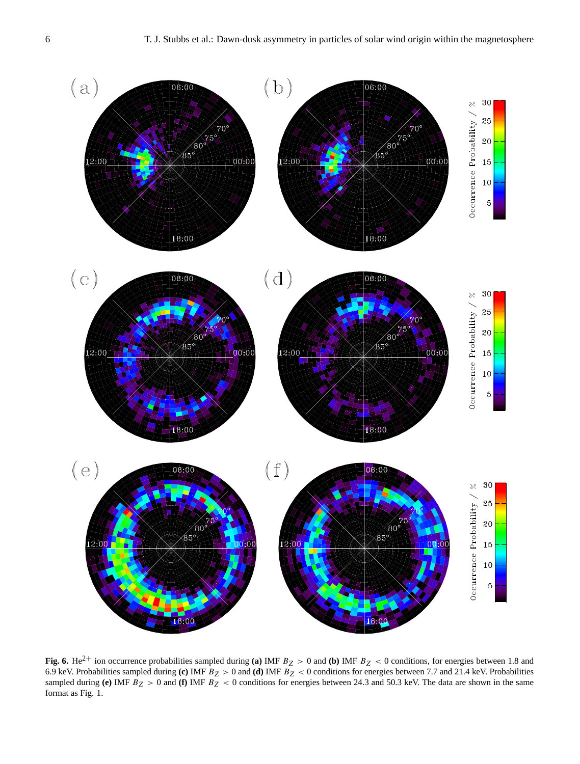

**Fig. 6.** He<sup>2+</sup> ion occurrence probabilities sampled during **(a)** IMF  $B_Z > 0$  and **(b)** IMF  $B_Z < 0$  conditions, for energies between 1.8 and 6.9 keV. Probabilities sampled during **(c)** IMF  $B_Z > 0$  and **(d)** IMF  $B_Z < 0$  conditions for energies between 7.7 and 21.4 keV. Probabilities sampled during (e) IMF  $B_Z > 0$  and (f) IMF  $B_Z < 0$  conditions for energies between 24.3 and 50.3 keV. The data are shown in the same format as Fig. 1.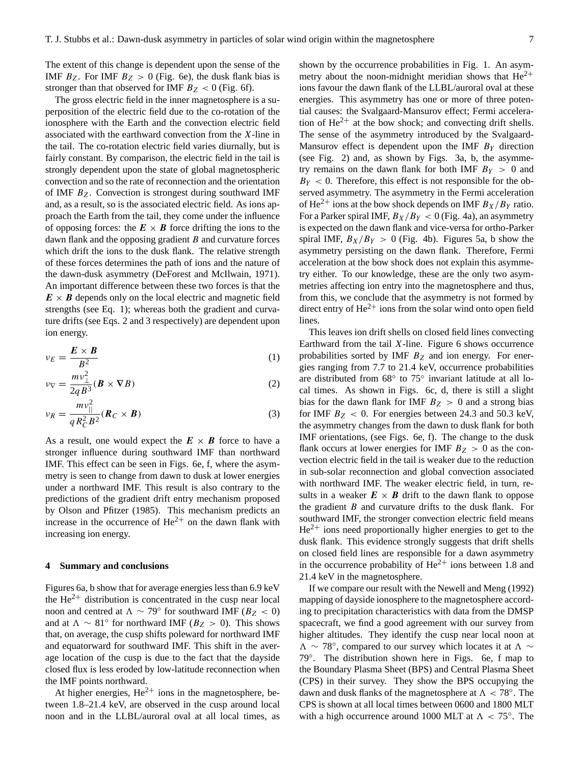The extent of this change is dependent upon the sense of the IMF  $B_Z$ . For IMF  $B_Z > 0$  (Fig. 6e), the dusk flank bias is stronger than that observed for IMF  $B_Z < 0$  (Fig. 6f).

The gross electric field in the inner magnetosphere is a superposition of the electric field due to the co-rotation of the ionosphere with the Earth and the convection electric field associated with the earthward convection from the X-line in the tail. The co-rotation electric field varies diurnally, but is fairly constant. By comparison, the electric field in the tail is strongly dependent upon the state of global magnetospheric convection and so the rate of reconnection and the orientation of IMF  $B_Z$ . Convection is strongest during southward IMF and, as a result, so is the associated electric field. As ions approach the Earth from the tail, they come under the influence of opposing forces: the  $E \times B$  force drifting the ions to the dawn flank and the opposing gradient  $B$  and curvature forces which drift the ions to the dusk flank. The relative strength of these forces determines the path of ions and the nature of the dawn-dusk asymmetry (DeForest and McIlwain, 1971). An important difference between these two forces is that the  $E \times B$  depends only on the local electric and magnetic field strengths (see Eq. 1); whereas both the gradient and curvature drifts (see Eqs. 2 and 3 respectively) are dependent upon ion energy.

$$
\nu_E = \frac{E \times B}{B^2} \tag{1}
$$

$$
\nu_{\nabla} = \frac{m\nu_{\perp}^2}{2qB^3} (\boldsymbol{B} \times \nabla B)
$$
 (2)

$$
\nu_R = \frac{mv_{\parallel}^2}{qR_C^2B^2}(\boldsymbol{R}_C \times \boldsymbol{B})
$$
\n(3)

As a result, one would expect the  $E \times B$  force to have a stronger influence during southward IMF than northward IMF. This effect can be seen in Figs. 6e, f, where the asymmetry is seen to change from dawn to dusk at lower energies under a northward IMF. This result is also contrary to the predictions of the gradient drift entry mechanism proposed by Olson and Pfitzer (1985). This mechanism predicts an increase in the occurrence of  $\text{He}^{2+}$  on the dawn flank with increasing ion energy.

### **4 Summary and conclusions**

Figures 6a, b show that for average energies less than 6.9 keV the  $He^{2+}$  distribution is concentrated in the cusp near local noon and centred at  $\Lambda \sim 79^{\circ}$  for southward IMF ( $B_Z < 0$ ) and at  $\Lambda \sim 81^\circ$  for northward IMF ( $B_Z > 0$ ). This shows that, on average, the cusp shifts poleward for northward IMF and equatorward for southward IMF. This shift in the average location of the cusp is due to the fact that the dayside closed flux is less eroded by low-latitude reconnection when the IMF points northward.

At higher energies,  $He^{2+}$  ions in the magnetosphere, between 1.8–21.4 keV, are observed in the cusp around local noon and in the LLBL/auroral oval at all local times, as shown by the occurrence probabilities in Fig. 1. An asymmetry about the noon-midnight meridian shows that  $He^{2+}$ ions favour the dawn flank of the LLBL/auroral oval at these energies. This asymmetry has one or more of three potential causes: the Svalgaard-Mansurov effect; Fermi acceleration of  $He^{2+}$  at the bow shock; and convecting drift shells. The sense of the asymmetry introduced by the Svalgaard-Mansurov effect is dependent upon the IMF  $B<sub>Y</sub>$  direction (see Fig. 2) and, as shown by Figs. 3a, b, the asymmetry remains on the dawn flank for both IMF  $B_Y > 0$  and  $B_Y < 0$ . Therefore, this effect is not responsible for the observed asymmetry. The asymmetry in the Fermi acceleration of He<sup>2+</sup> ions at the bow shock depends on IMF  $B_X/B_Y$  ratio. For a Parker spiral IMF,  $B_X/B_Y < 0$  (Fig. 4a), an asymmetry is expected on the dawn flank and vice-versa for ortho-Parker spiral IMF,  $B_X/B_Y > 0$  (Fig. 4b). Figures 5a, b show the asymmetry persisting on the dawn flank. Therefore, Fermi acceleration at the bow shock does not explain this asymmetry either. To our knowledge, these are the only two asymmetries affecting ion entry into the magnetosphere and thus, from this, we conclude that the asymmetry is not formed by direct entry of  $He^{2+}$  ions from the solar wind onto open field lines.

This leaves ion drift shells on closed field lines convecting Earthward from the tail  $X$ -line. Figure 6 shows occurrence probabilities sorted by IMF  $B<sub>Z</sub>$  and ion energy. For energies ranging from 7.7 to 21.4 keV, occurrence probabilities are distributed from 68◦ to 75◦ invariant latitude at all local times. As shown in Figs. 6c, d, there is still a slight bias for the dawn flank for IMF  $B_Z > 0$  and a strong bias for IMF  $B_Z < 0$ . For energies between 24.3 and 50.3 keV, the asymmetry changes from the dawn to dusk flank for both IMF orientations, (see Figs. 6e, f). The change to the dusk flank occurs at lower energies for IMF  $B_Z > 0$  as the convection electric field in the tail is weaker due to the reduction in sub-solar reconnection and global convection associated with northward IMF. The weaker electric field, in turn, results in a weaker  $E \times B$  drift to the dawn flank to oppose the gradient  $B$  and curvature drifts to the dusk flank. For southward IMF, the stronger convection electric field means  $He<sup>2+</sup>$  ions need proportionally higher energies to get to the dusk flank. This evidence strongly suggests that drift shells on closed field lines are responsible for a dawn asymmetry in the occurrence probability of  $He^{2+}$  ions between 1.8 and 21.4 keV in the magnetosphere.

If we compare our result with the Newell and Meng (1992) mapping of dayside ionosphere to the magnetosphere according to precipitation characteristics with data from the DMSP spacecraft, we find a good agreement with our survey from higher altitudes. They identify the cusp near local noon at  $\Lambda \sim 78^\circ$ , compared to our survey which locates it at  $\Lambda \sim$ 79◦ . The distribution shown here in Figs. 6e, f map to the Boundary Plasma Sheet (BPS) and Central Plasma Sheet (CPS) in their survey. They show the BPS occupying the dawn and dusk flanks of the magnetosphere at  $\Lambda < 78^\circ$ . The CPS is shown at all local times between 0600 and 1800 MLT with a high occurrence around 1000 MLT at  $\Lambda < 75^{\circ}$ . The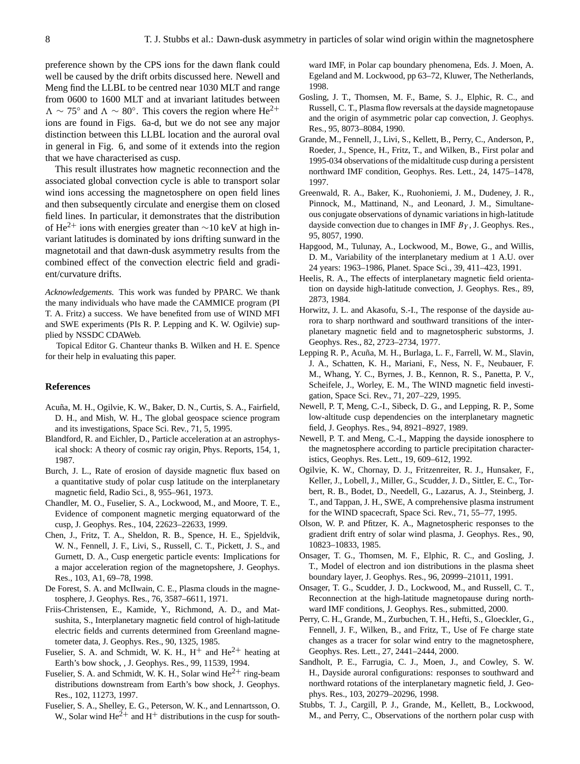preference shown by the CPS ions for the dawn flank could well be caused by the drift orbits discussed here. Newell and Meng find the LLBL to be centred near 1030 MLT and range from 0600 to 1600 MLT and at invariant latitudes between  $\Lambda \sim 75^{\circ}$  and  $\Lambda \sim 80^{\circ}$ . This covers the region where He<sup>2+</sup> ions are found in Figs. 6a-d, but we do not see any major distinction between this LLBL location and the auroral oval in general in Fig. 6, and some of it extends into the region that we have characterised as cusp.

This result illustrates how magnetic reconnection and the associated global convection cycle is able to transport solar wind ions accessing the magnetosphere on open field lines and then subsequently circulate and energise them on closed field lines. In particular, it demonstrates that the distribution of He<sup>2+</sup> ions with energies greater than  $\sim$ 10 keV at high invariant latitudes is dominated by ions drifting sunward in the magnetotail and that dawn-dusk asymmetry results from the combined effect of the convection electric field and gradient/curvature drifts.

*Acknowledgements.* This work was funded by PPARC. We thank the many individuals who have made the CAMMICE program (PI T. A. Fritz) a success. We have benefited from use of WIND MFI and SWE experiments (PIs R. P. Lepping and K. W. Ogilvie) supplied by NSSDC CDAWeb.

Topical Editor G. Chanteur thanks B. Wilken and H. E. Spence for their help in evaluating this paper.

#### **References**

- Acuña, M. H., Ogilvie, K. W., Baker, D. N., Curtis, S. A., Fairfield, D. H., and Mish, W. H., The global geospace science program and its investigations, Space Sci. Rev., 71, 5, 1995.
- Blandford, R. and Eichler, D., Particle acceleration at an astrophysical shock: A theory of cosmic ray origin, Phys. Reports, 154, 1, 1987.
- Burch, J. L., Rate of erosion of dayside magnetic flux based on a quantitative study of polar cusp latitude on the interplanetary magnetic field, Radio Sci., 8, 955–961, 1973.
- Chandler, M. O., Fuselier, S. A., Lockwood, M., and Moore, T. E., Evidence of component magnetic merging equatorward of the cusp, J. Geophys. Res., 104, 22623–22633, 1999.
- Chen, J., Fritz, T. A., Sheldon, R. B., Spence, H. E., Spjeldvik, W. N., Fennell, J. F., Livi, S., Russell, C. T., Pickett, J. S., and Gurnett, D. A., Cusp energetic particle events: Implications for a major acceleration region of the magnetopshere, J. Geophys. Res., 103, A1, 69–78, 1998.
- De Forest, S. A. and McIlwain, C. E., Plasma clouds in the magnetosphere, J. Geophys. Res., 76, 3587–6611, 1971.
- Friis-Christensen, E., Kamide, Y., Richmond, A. D., and Matsushita, S., Interplanetary magnetic field control of high-latitude electric fields and currents determined from Greenland magnetometer data, J. Geophys. Res., 90, 1325, 1985.
- Fuselier, S. A. and Schmidt, W. K. H.,  $H^+$  and  $He^{2+}$  heating at Earth's bow shock, , J. Geophys. Res., 99, 11539, 1994.
- Fuselier, S. A. and Schmidt, W. K. H., Solar wind  $He^{2+}$  ring-beam distributions downstream from Earth's bow shock, J. Geophys. Res., 102, 11273, 1997.
- Fuselier, S. A., Shelley, E. G., Peterson, W. K., and Lennartsson, O. W., Solar wind  $\text{He}^{2+}$  and  $\text{H}^{+}$  distributions in the cusp for south-

ward IMF, in Polar cap boundary phenomena, Eds. J. Moen, A. Egeland and M. Lockwood, pp 63–72, Kluwer, The Netherlands, 1998.

- Gosling, J. T., Thomsen, M. F., Bame, S. J., Elphic, R. C., and Russell, C. T., Plasma flow reversals at the dayside magnetopause and the origin of asymmetric polar cap convection, J. Geophys. Res., 95, 8073–8084, 1990.
- Grande, M., Fennell, J., Livi, S., Kellett, B., Perry, C., Anderson, P., Roeder, J., Spence, H., Fritz, T., and Wilken, B., First polar and 1995-034 observations of the midaltitude cusp during a persistent northward IMF condition, Geophys. Res. Lett., 24, 1475–1478, 1997.
- Greenwald, R. A., Baker, K., Ruohoniemi, J. M., Dudeney, J. R., Pinnock, M., Mattinand, N., and Leonard, J. M., Simultaneous conjugate observations of dynamic variations in high-latitude dayside convection due to changes in IMF  $B<sub>Y</sub>$ , J. Geophys. Res., 95, 8057, 1990.
- Hapgood, M., Tulunay, A., Lockwood, M., Bowe, G., and Willis, D. M., Variability of the interplanetary medium at 1 A.U. over 24 years: 1963–1986, Planet. Space Sci., 39, 411–423, 1991.
- Heelis, R. A., The effects of interplanetary magnetic field orientation on dayside high-latitude convection, J. Geophys. Res., 89, 2873, 1984.
- Horwitz, J. L. and Akasofu, S.-I., The response of the dayside aurora to sharp northward and southward transitions of the interplanetary magnetic field and to magnetospheric substorms, J. Geophys. Res., 82, 2723–2734, 1977.
- Lepping R. P., Acuña, M. H., Burlaga, L. F., Farrell, W. M., Slavin, J. A., Schatten, K. H., Mariani, F., Ness, N. F., Neubauer, F. M., Whang, Y. C., Byrnes, J. B., Kennon, R. S., Panetta, P. V., Scheifele, J., Worley, E. M., The WIND magnetic field investigation, Space Sci. Rev., 71, 207–229, 1995.
- Newell, P. T, Meng, C.-I., Sibeck, D. G., and Lepping, R. P., Some low-altitude cusp dependencies on the interplanetary magnetic field, J. Geophys. Res., 94, 8921–8927, 1989.
- Newell, P. T. and Meng, C.-I., Mapping the dayside ionosphere to the magnetosphere according to particle precipitation characteristics, Geophys. Res. Lett., 19, 609–612, 1992.
- Ogilvie, K. W., Chornay, D. J., Fritzenreiter, R. J., Hunsaker, F., Keller, J., Lobell, J., Miller, G., Scudder, J. D., Sittler, E. C., Torbert, R. B., Bodet, D., Needell, G., Lazarus, A. J., Steinberg, J. T., and Tappan, J. H., SWE, A comprehensive plasma instrument for the WIND spacecraft, Space Sci. Rev., 71, 55–77, 1995.
- Olson, W. P. and Pfitzer, K. A., Magnetospheric responses to the gradient drift entry of solar wind plasma, J. Geophys. Res., 90, 10823–10833, 1985.
- Onsager, T. G., Thomsen, M. F., Elphic, R. C., and Gosling, J. T., Model of electron and ion distributions in the plasma sheet boundary layer, J. Geophys. Res., 96, 20999–21011, 1991.
- Onsager, T. G., Scudder, J. D., Lockwood, M., and Russell, C. T., Reconnection at the high-latitude magnetopause during northward IMF conditions, J. Geophys. Res., submitted, 2000.
- Perry, C. H., Grande, M., Zurbuchen, T. H., Hefti, S., Gloeckler, G., Fennell, J. F., Wilken, B., and Fritz, T., Use of Fe charge state changes as a tracer for solar wind entry to the magnetosphere, Geophys. Res. Lett., 27, 2441–2444, 2000.
- Sandholt, P. E., Farrugia, C. J., Moen, J., and Cowley, S. W. H., Dayside auroral configurations: responses to southward and northward rotations of the interplanetary magnetic field, J. Geophys. Res., 103, 20279–20296, 1998.
- Stubbs, T. J., Cargill, P. J., Grande, M., Kellett, B., Lockwood, M., and Perry, C., Observations of the northern polar cusp with